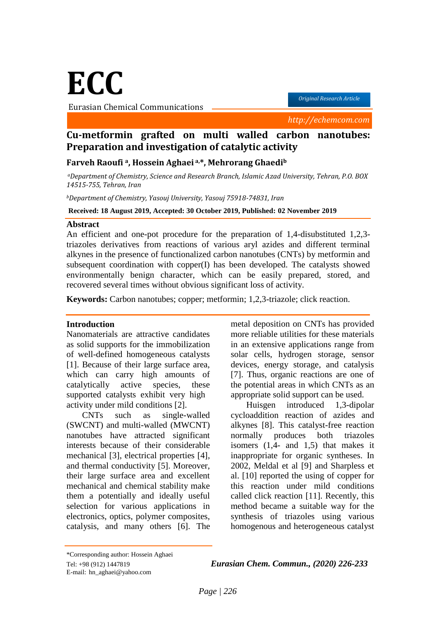**ECC**

Eurasian Chemical Communications

*Original Research Article*

 *http://echemcom.com*

# **Cu-metformin grafted on multi walled carbon nanotubes: Preparation and investigation of catalytic activity**

#### **Farveh Raoufi a, Hossein Aghaei a,\*, Mehrorang Ghaedi<sup>b</sup>**

*<sup>a</sup>Department of Chemistry, Science and Research Branch, Islamic Azad University, Tehran, P.O. BOX 14515-755, Tehran, Iran*

*<sup>b</sup>Department of Chemistry, Yasouj University, Yasouj 75918-74831, Iran*

**Received: 18 August 2019, Accepted: 30 October 2019, Published: 02 November 2019**

#### **Abstract**

An efficient and one-pot procedure for the preparation of 1,4-disubstituted 1,2,3 triazoles derivatives from reactions of various aryl azides and different terminal alkynes in the presence of functionalized carbon nanotubes (CNTs) by metformin and subsequent coordination with copper(I) has been developed. The catalysts showed environmentally benign character, which can be easily prepared, stored, and recovered several times without obvious significant loss of activity.

**Keywords:** Carbon nanotubes; copper; metformin; 1,2,3-triazole; click reaction.

#### **Introduction**

Nanomaterials are attractive candidates as solid supports for the immobilization of well-defined homogeneous catalysts [1]. Because of their large surface area, which can carry high amounts of catalytically active species, these supported catalysts exhibit very high activity under mild conditions [2].

CNTs such as single-walled (SWCNT) and multi-walled (MWCNT) nanotubes have attracted significant interests because of their considerable mechanical [3], electrical properties [4], and thermal conductivity [5]. Moreover, their large surface area and excellent mechanical and chemical stability make them a potentially and ideally useful selection for various applications in electronics, optics, polymer composites, catalysis, and many others [6]. The

metal deposition on CNTs has provided more reliable utilities for these materials in an extensive applications range from solar cells, hydrogen storage, sensor devices, energy storage, and catalysis [7]. Thus, organic reactions are one of the potential areas in which CNTs as an appropriate solid support can be used.

Huisgen introduced 1,3-dipolar cycloaddition reaction of azides and alkynes [8]. This catalyst-free reaction normally produces both triazoles isomers (1,4- and 1,5) that makes it inappropriate for organic syntheses. In 2002, Meldal et al [9] and Sharpless et al. [10] reported the using of copper for this reaction under mild conditions called click reaction [11]. Recently, this method became a suitable way for the synthesis of triazoles using various homogenous and heterogeneous catalyst

\*Corresponding author: Hossein Aghaei

E-mail: hn\_aghaei@yahoo.com

Tel: +98 (912) 1447819 *Eurasian Chem. Commun., (2020) 226-233*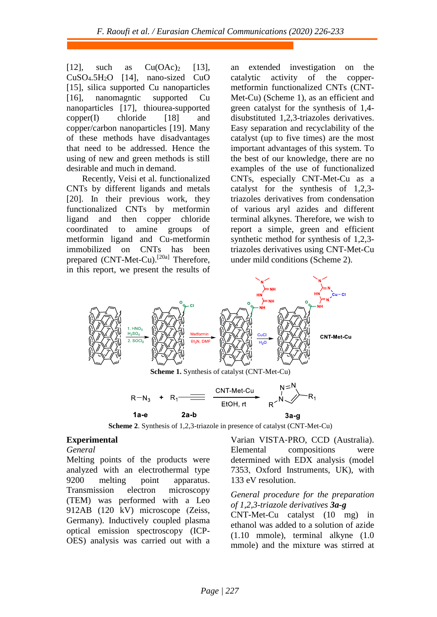[12], such as  $Cu(OAc)_2$  [13],  $CuSO<sub>4</sub>.5H<sub>2</sub>O$  [14], nano-sized CuO [15], silica supported Cu nanoparticles [16], nanomagntic supported Cu nanoparticles [17], thiourea-supported  $copper(I)$  chloride  $[18]$  and copper/carbon nanoparticles [19]. Many of these methods have disadvantages that need to be addressed. Hence the using of new and green methods is still desirable and much in demand.

Recently, Veisi et al. functionalized CNTs by different ligands and metals [20]. In their previous work, they functionalized CNTs by metformin ligand and then copper chloride coordinated to amine groups of metformin ligand and Cu-metformin immobilized on CNTs has been prepared (CNT-Met-Cu).<sup>[20a]</sup> Therefore, in this report, we present the results of

an extended investigation on the catalytic activity of the coppermetformin functionalized CNTs (CNT-Met-Cu) (Scheme 1), as an efficient and green catalyst for the synthesis of 1,4 disubstituted 1,2,3-triazoles derivatives. Easy separation and recyclability of the catalyst (up to five times) are the most important advantages of this system. To the best of our knowledge, there are no examples of the use of functionalized CNTs, especially CNT-Met-Cu as a catalyst for the synthesis of 1,2,3 triazoles derivatives from condensation of various aryl azides and different terminal alkynes. Therefore, we wish to report a simple, green and efficient synthetic method for synthesis of 1,2,3 triazoles derivatives using CNT-Met-Cu under mild conditions (Scheme 2).





**Scheme 2**. Synthesis of 1,2,3-triazole in presence of catalyst (CNT-Met-Cu)

#### **Experimental**

*General*

Melting points of the products were analyzed with an electrothermal type 9200 melting point apparatus. Transmission electron microscopy (TEM) was performed with a Leo 912AB (120 kV) microscope (Zeiss, Germany). Inductively coupled plasma optical emission spectroscopy (ICP-OES) analysis was carried out with a

Varian VISTA‐PRO, CCD (Australia). Elemental compositions were determined with EDX analysis (model 7353, Oxford Instruments, UK), with 133 eV resolution.

# *General procedure for the preparation of 1,2,3-triazole derivatives 3a-g*

CNT-Met-Cu catalyst (10 mg) in ethanol was added to a solution of azide (1.10 mmole), terminal alkyne (1.0 mmole) and the mixture was stirred at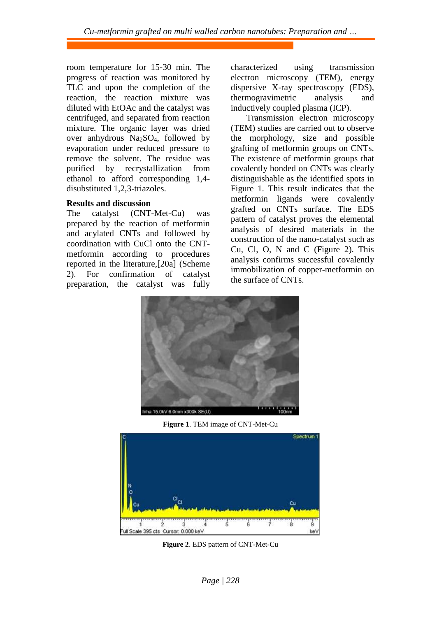room temperature for 15-30 min. The progress of reaction was monitored by TLC and upon the completion of the reaction, the reaction mixture was diluted with EtOAc and the catalyst was centrifuged, and separated from reaction mixture. The organic layer was dried over anhydrous Na2SO4, followed by evaporation under reduced pressure to remove the solvent. The residue was purified by recrystallization from ethanol to afford corresponding 1,4 disubstituted 1,2,3-triazoles.

#### **Results and discussion**

The catalyst (CNT-Met-Cu) was prepared by the reaction of metformin and acylated CNTs and followed by coordination with CuCl onto the CNTmetformin according to procedures reported in the literature,[20a] (Scheme 2). For confirmation of catalyst preparation, the catalyst was fully characterized using transmission electron microscopy (TEM), energy dispersive X-ray spectroscopy (EDS), thermogravimetric analysis and inductively coupled plasma (ICP).

Transmission electron microscopy (TEM) studies are carried out to observe the morphology, size and possible grafting of metformin groups on CNTs. The existence of metformin groups that covalently bonded on CNTs was clearly distinguishable as the identified spots in Figure 1. This result indicates that the metformin ligands were covalently grafted on CNTs surface. The EDS pattern of catalyst proves the elemental analysis of desired materials in the construction of the nano-catalyst such as Cu, Cl, O, N and C (Figure 2). This analysis confirms successful covalently immobilization of copper-metformin on the surface of CNTs.



**Figure 1**. TEM image of CNT-Met-Cu



**Figure 2**. EDS pattern of CNT-Met-Cu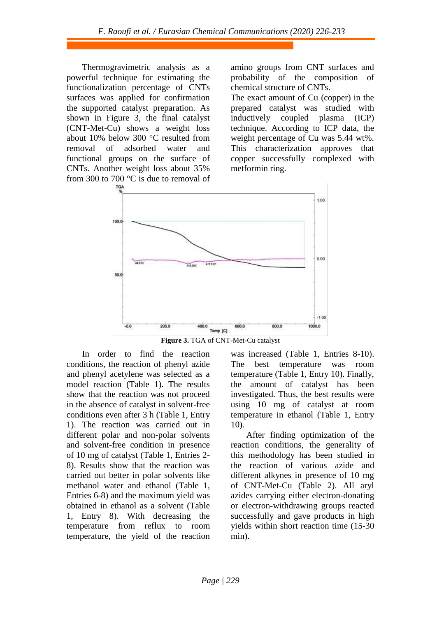Thermogravimetric analysis as a powerful technique for estimating the functionalization percentage of CNTs surfaces was applied for confirmation the supported catalyst preparation. As shown in Figure 3, the final catalyst (CNT-Met-Cu) shows a weight loss about 10% below 300 °C resulted from removal of adsorbed water and functional groups on the surface of CNTs. Another weight loss about 35% from 300 to 700 °C is due to removal of

amino groups from CNT surfaces and probability of the composition of chemical structure of CNTs.

The exact amount of Cu (copper) in the prepared catalyst was studied with inductively coupled plasma (ICP) technique. According to ICP data, the weight percentage of Cu was 5.44 wt%. This characterization approves that copper successfully complexed with metformin ring.



**Figure 3.** TGA of CNT-Met-Cu catalyst

In order to find the reaction conditions, the reaction of phenyl azide and phenyl acetylene was selected as a model reaction (Table 1). The results show that the reaction was not proceed in the absence of catalyst in solvent-free conditions even after 3 h (Table 1, Entry 1). The reaction was carried out in different polar and non-polar solvents and solvent-free condition in presence of 10 mg of catalyst (Table 1, Entries 2- 8). Results show that the reaction was carried out better in polar solvents like methanol water and ethanol (Table 1, Entries 6-8) and the maximum yield was obtained in ethanol as a solvent (Table 1, Entry 8). With decreasing the temperature from reflux to room temperature, the yield of the reaction was increased (Table 1, Entries 8-10). The best temperature was room temperature (Table 1, Entry 10). Finally, the amount of catalyst has been investigated. Thus, the best results were using 10 mg of catalyst at room temperature in ethanol (Table 1, Entry 10).

After finding optimization of the reaction conditions, the generality of this methodology has been studied in the reaction of various azide and different alkynes in presence of 10 mg of CNT-Met-Cu (Table 2). All aryl azides carrying either electron-donating or electron-withdrawing groups reacted successfully and gave products in high yields within short reaction time (15-30 min).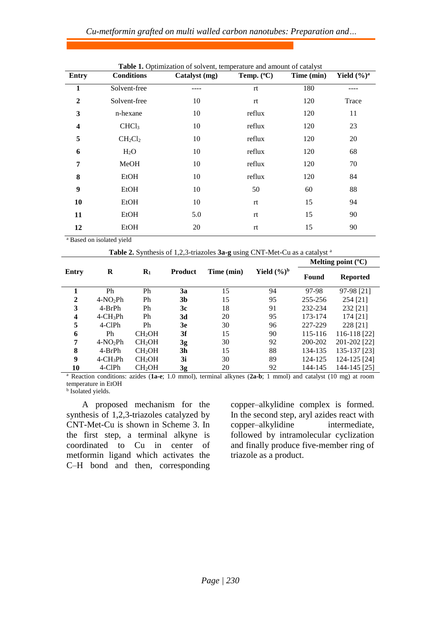### *Cu-metformin grafted on multi walled carbon nanotubes: Preparation and…*

| <b>Entry</b>            | <b>Conditions</b> | Catalyst (mg) | Temp. (°C) | Time (min) | Yield $(\frac{6}{9})^a$ |
|-------------------------|-------------------|---------------|------------|------------|-------------------------|
| 1                       | Solvent-free      |               | rt         | 180        |                         |
| $\overline{2}$          | Solvent-free      | 10            | rt         | 120        | Trace                   |
| 3                       | n-hexane          | 10            | reflux     | 120        | 11                      |
| $\overline{\mathbf{4}}$ | CHCl <sub>3</sub> | 10            | reflux     | 120        | 23                      |
| 5                       | $CH_2Cl_2$        | 10            | reflux     | 120        | 20                      |
| 6                       | $H_2O$            | 10            | reflux     | 120        | 68                      |
| 7                       | MeOH              | 10            | reflux     | 120        | 70                      |
| 8                       | EtOH              | 10            | reflux     | 120        | 84                      |
| 9                       | <b>EtOH</b>       | 10            | 50         | 60         | 88                      |
| 10                      | EtOH              | 10            | rt         | 15         | 94                      |
| 11                      | EtOH              | 5.0           | rt         | 15         | 90                      |
| 12                      | EtOH              | 20            | rt         | 15         | 90                      |

|  |  | Table 1. Optimization of solvent, temperature and amount of catalyst |
|--|--|----------------------------------------------------------------------|
|  |  |                                                                      |

<sup>a</sup> Based on isolated yield

| Table 2. Synthesis of 1,2,3-triazoles 3a-g using CNT-Met-Cu as a catalyst <sup>a</sup> |                         |                    |                |            |                         |                             |                 |
|----------------------------------------------------------------------------------------|-------------------------|--------------------|----------------|------------|-------------------------|-----------------------------|-----------------|
|                                                                                        |                         |                    |                |            |                         | Melting point $(^{\circ}C)$ |                 |
| Entry                                                                                  | R                       | $\mathbf{R}_1$     | <b>Product</b> | Time (min) | Yield $(\frac{6}{6})^b$ | Found                       | <b>Reported</b> |
| 1                                                                                      | Ph                      | Ph                 | 3a             | 15         | 94                      | 97-98                       | 97-98 [21]      |
| $\mathbf{2}$                                                                           | $4-NO2Ph$               | Ph                 | 3 <sub>b</sub> | 15         | 95                      | 255-256                     | 254 [21]        |
| 3                                                                                      | 4-BrPh                  | Ph                 | 3c             | 18         | 91                      | 232-234                     | 232 [21]        |
| 4                                                                                      | $4$ -CH <sub>3</sub> Ph | Ph                 | 3d             | 20         | 95                      | 173-174                     | 174 [21]        |
| 5                                                                                      | 4-CIPh                  | Ph                 | 3e             | 30         | 96                      | 227-229                     | 228 [21]        |
| 6                                                                                      | Ph                      | CH <sub>2</sub> OH | 3f             | 15         | 90                      | 115-116                     | 116-118 [22]    |
| 7                                                                                      | $4-NO2Ph$               | CH <sub>2</sub> OH | 3g             | 30         | 92                      | 200-202                     | 201-202 [22]    |
| 8                                                                                      | $4-BrPh$                | CH <sub>2</sub> OH | 3h             | 15         | 88                      | 134-135                     | 135-137 [23]    |
| 9                                                                                      | $4$ -CH <sub>3</sub> Ph | CH <sub>2</sub> OH | 3i             | 30         | 89                      | 124-125                     | 124-125 [24]    |
| 10                                                                                     | 4-ClPh                  | CH <sub>2</sub> OH | 3g             | 20         | 92                      | 144-145                     | 144-145 [25]    |

<sup>a</sup> Reaction conditions: azides (**1a-e**; 1.0 mmol), terminal alkynes (**2a-b**; 1 mmol) and catalyst (10 mg) at room temperature in EtOH

**b** Isolated yields.

A proposed mechanism for the synthesis of 1,2,3-triazoles catalyzed by CNT-Met-Cu is shown in Scheme 3. In the first step, a terminal alkyne is coordinated to Cu in center of metformin ligand which activates the C–H bond and then, corresponding copper–alkylidine complex is formed. In the second step, aryl azides react with copper–alkylidine intermediate, followed by intramolecular cyclization and finally produce five-member ring of triazole as a product.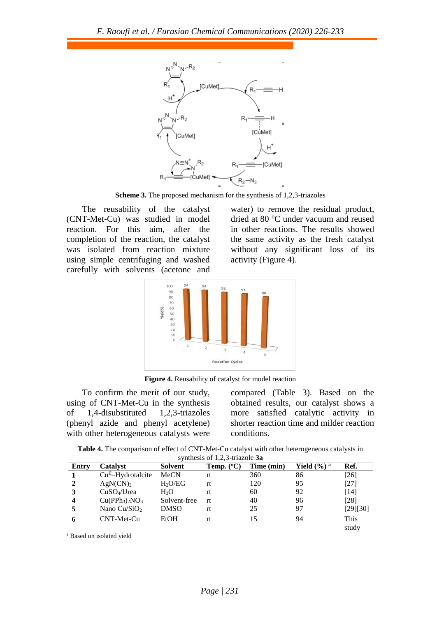

**Scheme 3.** The proposed mechanism for the synthesis of 1,2,3-triazoles

The reusability of the catalyst (CNT-Met-Cu) was studied in model reaction. For this aim, after the completion of the reaction, the catalyst was isolated from reaction mixture using simple centrifuging and washed carefully with solvents (acetone and water) to remove the residual product, dried at 80 °C under vacuum and reused in other reactions. The results showed the same activity as the fresh catalyst without any significant loss of its activity (Figure 4).



**Figure 4.** Reusability of catalyst for model reaction

To confirm the merit of our study, using of CNT-Met-Cu in the synthesis of 1,4-disubstituted 1,2,3-triazoles (phenyl azide and phenyl acetylene) with other heterogeneous catalysts were compared (Table 3). Based on the obtained results, our catalyst shows a more satisfied catalytic activity in shorter reaction time and milder reaction conditions.

**Table 4.** The comparison of effect of CNT-Met-Cu catalyst with other heterogeneous catalysts in  $subset$ <sup>5</sup>  $\frac{1}{2}$   $\frac{2}{3}$  trias

| Synthesis of $1,2,3$ -triazore <b><i>Ja</i></b> |                                 |                     |                     |            |                            |          |  |
|-------------------------------------------------|---------------------------------|---------------------|---------------------|------------|----------------------------|----------|--|
| Entry                                           | <b>Catalyst</b>                 | Solvent             | Temp. $(^{\circ}C)$ | Time (min) | Yield $(\% )$ <sup>a</sup> | Ref.     |  |
|                                                 | $CuH$ -Hydrotalcite             | MeCN                | rt                  | 360        | 86                         | $[26]$   |  |
| $\mathbf{2}$                                    | AgN(CN) <sub>2</sub>            | H <sub>2</sub> O/EG | rt                  | 120        | 95                         | $[27]$   |  |
| 3                                               | $CuSO4/U$ rea                   | H <sub>2</sub> O    | rt.                 | 60         | 92                         | [14]     |  |
| 4                                               | $Cu(PPh_3)$ <sub>2</sub> $NO_3$ | Solvent-free        | rt.                 | 40         | 96                         | [28]     |  |
|                                                 | Nano Cu/SiO <sub>2</sub>        | <b>DMSO</b>         | rt.                 | 25         | 97                         | [29][30] |  |
| 6                                               | CNT-Met-Cu                      | EtOH                | rt                  | 15         | 94                         | This     |  |
|                                                 |                                 |                     |                     |            |                            | study    |  |

<sup>a</sup> Based on isolated yield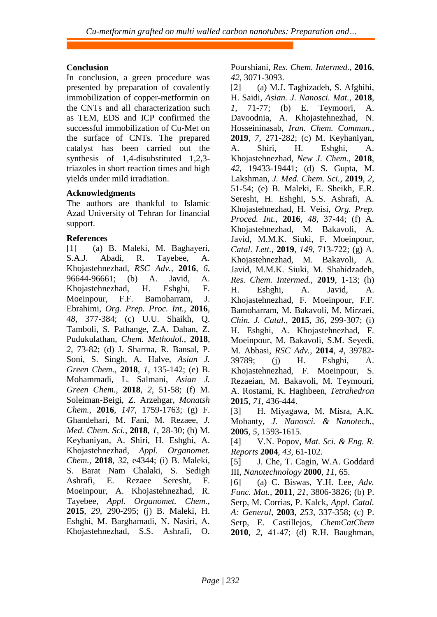# **Conclusion**

In conclusion, a green procedure was presented by preparation of covalently immobilization of copper-metformin on the CNTs and all characterization such as TEM, EDS and ICP confirmed the successful immobilization of Cu-Met on the surface of CNTs. The prepared catalyst has been carried out the synthesis of 1,4-disubstituted 1,2,3 triazoles in short reaction times and high yields under mild irradiation.

# **Acknowledgments**

The authors are thankful to Islamic Azad University of Tehran for financial support.

## **References**

[1] (a) B. Maleki, M. Baghayeri, S.A.J. Abadi, R. Tayebee, A. Khojastehnezhad, *RSC Adv.,* **2016**, *6*, 96644-96661; (b) A. Javid, A. Khojastehnezhad, H. Eshghi, F. Moeinpour, F.F. Bamoharram, J. Ebrahimi, *Org. Prep. Proc. Int.,* **2016**, *48*, 377-384; (c) U.U. Shaikh, Q. Tamboli, S. Pathange, Z.A. Dahan, Z. Pudukulathan, *Chem. Methodol.,* **2018**, *2*, 73-82; (d) J. Sharma, R. Bansal, P. Soni, S. Singh, A. Halve, *Asian J. Green Chem.,* **2018**, *1*, 135-142; (e) B. Mohammadi, L. Salmani, *Asian J. Green Chem.,* **2018**, *2*, 51-58; (f) M. Soleiman-Beigi, Z. Arzehgar, *Monatsh Chem.,* **2016**, *147*, 1759-1763; (g) F. Ghandehari, M. Fani, M. Rezaee, *J. Med. Chem. Sci.,* **2018**, *1*, 28-30; (h) M. Keyhaniyan, A. Shiri, H. Eshghi, A. Khojastehnezhad, *Appl. Organomet. Chem.,* **2018**, *32*, e4344; (i) B. Maleki, S. Barat Nam Chalaki, S. Sedigh Ashrafi, E. Rezaee Seresht, F. Moeinpour, A. Khojastehnezhad, R. Tayebee, *Appl. Organomet. Chem.,*  **2015**, *29*, 290-295; (j) B. Maleki, H. Eshghi, M. Barghamadi, N. Nasiri, A. Khojastehnezhad, S.S. Ashrafi, O. Pourshiani, *Res. Chem. Intermed.,* **2016**, *42*, 3071-3093.

[2] (a) M.J. Taghizadeh, S. Afghihi, H. Saidi, *Asian. J. Nanosci. Mat.,* **2018**, *1*, 71-77; (b) E. Teymoori, A. Davoodnia, A. Khojastehnezhad, N. Hosseininasab, *Iran. Chem. Commun.,*  **2019**, *7*, 271-282; (c) M. Keyhaniyan, A. Shiri, H. Eshghi, A. Khojastehnezhad, *New J. Chem.,* **2018**, *42*, 19433-19441; (d) S. Gupta, M. Lakshman, *J. Med. Chem. Sci.,* **2019**, *2*, 51-54; (e) B. Maleki, E. Sheikh, E.R. Seresht, H. Eshghi, S.S. Ashrafi, A. Khojastehnezhad, H. Veisi, *Org. Prep. Proced. Int.,* **2016**, *48*, 37-44; (f) A. Khojastehnezhad, M. Bakavoli, A. Javid, M.M.K. Siuki, F. Moeinpour, *Catal. Lett.,* **2019**, *149*, 713-722; (g) A. Khojastehnezhad, M. Bakavoli, A. Javid, M.M.K. Siuki, M. Shahidzadeh, *Res. Chem. Intermed.,* **2019**, 1-13; (h) H. Eshghi, A. Javid, A. Khojastehnezhad, F. Moeinpour, F.F. Bamoharram, M. Bakavoli, M. Mirzaei, *Chin. J. Catal.,* **2015**, *36*, 299-307; (i) H. Eshghi, A. Khojastehnezhad, F. Moeinpour, M. Bakavoli, S.M. Seyedi, M. Abbasi, *RSC Adv.,* **2014**, *4*, 39782- 39789; (j) H. Eshghi, A. Khojastehnezhad, F. Moeinpour, S. Rezaeian, M. Bakavoli, M. Teymouri, A. Rostami, K. Haghbeen, *Tetrahedron*  **2015**, *71*, 436-444. [3] H. Miyagawa, M. Misra, A.K.

Mohanty, *J. Nanosci. & Nanotech.,*  **2005**, *5*, 1593-1615.

[4] V.N. Popov, *Mat. Sci. & Eng. R. Reports* **2004**, *43*, 61-102.

[5] J. Che, T. Cagin, W.A. Goddard III, *Nanotechnology* **2000**, *11*, 65.

[6] (a) C. Biswas, Y.H. Lee, *Adv. Func. Mat.,* **2011**, *21*, 3806-3826; (b) P. Serp, M. Corrias, P. Kalck, *Appl. Catal. A: General,* **2003**, *253*, 337-358; (c) P. Serp, E. Castillejos, *ChemCatChem*  **2010**, *2*, 41-47; (d) R.H. Baughman,